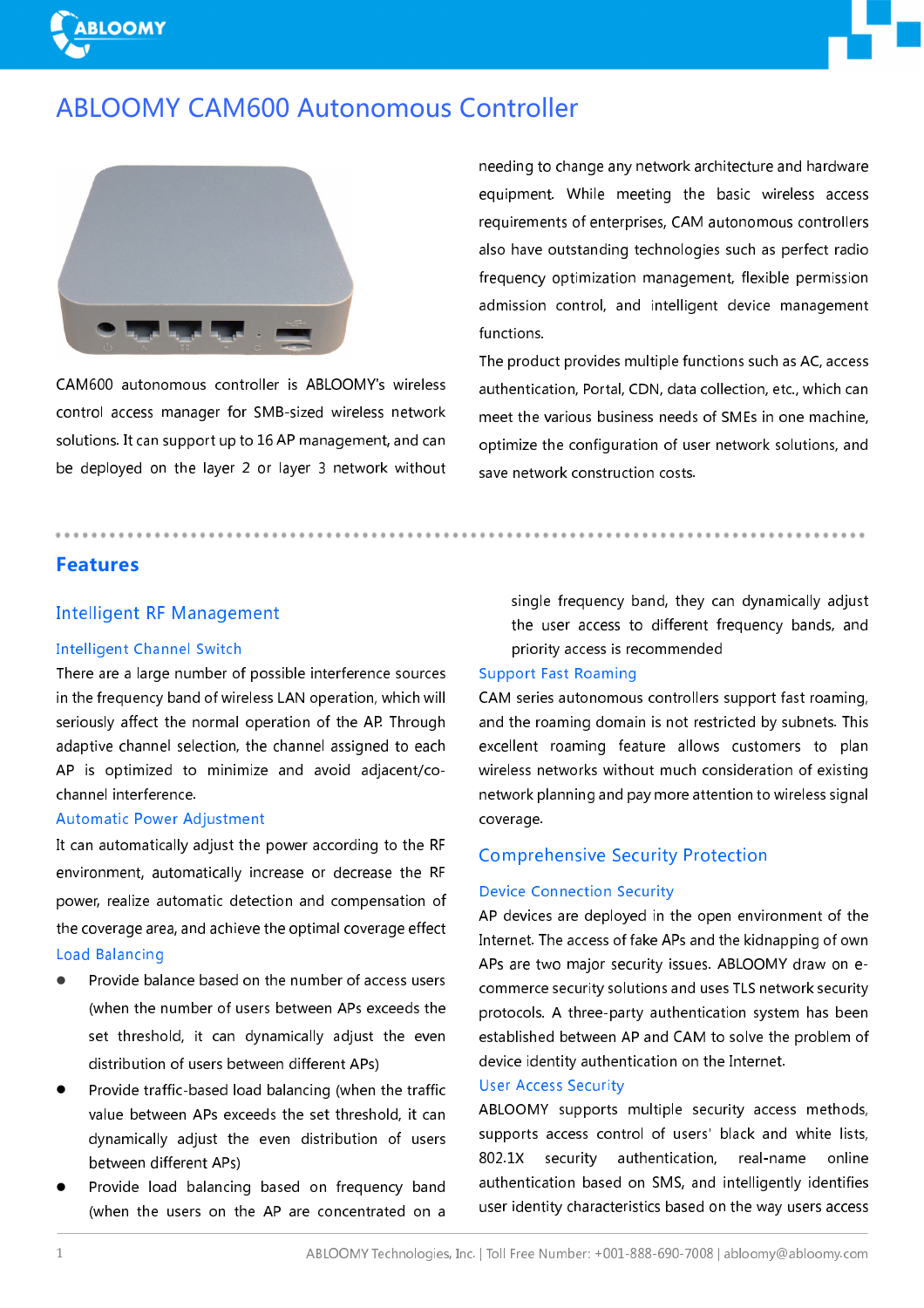

# **ABLOOMY CAM600 Autonomous Controller**



CAM600 autonomous controller is ABLOOMY's wireless control access manager for SMB-sized wireless network solutions. It can support up to 16 AP management, and can be deployed on the layer 2 or layer 3 network without needing to change any network architecture and hardware equipment. While meeting the basic wireless access requirements of enterprises, CAM autonomous controllers also have outstanding technologies such as perfect radio frequency optimization management, flexible permission admission control, and intelligent device management functions.

The product provides multiple functions such as AC, access authentication, Portal, CDN, data collection, etc., which can meet the various business needs of SMEs in one machine, optimize the configuration of user network solutions, and save network construction costs.

# **Features**

### **Intelligent RF Management**

#### **Intelligent Channel Switch**

There are a large number of possible interference sources in the frequency band of wireless LAN operation, which will seriously affect the normal operation of the AP. Through adaptive channel selection, the channel assigned to each AP is optimized to minimize and avoid adjacent/cochannel interference.

#### **Automatic Power Adjustment**

It can automatically adjust the power according to the RF environment, automatically increase or decrease the RF power, realize automatic detection and compensation of the coverage area, and achieve the optimal coverage effect **Load Balancing** 

- Provide balance based on the number of access users (when the number of users between APs exceeds the set threshold, it can dynamically adjust the even distribution of users between different APs)
- Provide traffic-based load balancing (when the traffic value between APs exceeds the set threshold, it can dynamically adjust the even distribution of users between different APs)
- Provide load balancing based on frequency band (when the users on the AP are concentrated on a

single frequency band, they can dynamically adjust the user access to different frequency bands, and priority access is recommended

# **Support Fast Roaming**

CAM series autonomous controllers support fast roaming, and the roaming domain is not restricted by subnets. This excellent roaming feature allows customers to plan wireless networks without much consideration of existing network planning and pay more attention to wireless signal coverage.

## **Comprehensive Security Protection**

## **Device Connection Security**

AP devices are deploved in the open environment of the Internet. The access of fake APs and the kidnapping of own APs are two major security issues. ABLOOMY draw on ecommerce security solutions and uses TLS network security protocols. A three-party authentication system has been established between AP and CAM to solve the problem of device identity authentication on the Internet.

# **User Access Security**

ABLOOMY supports multiple security access methods, supports access control of users' black and white lists, 802.1X security authentication, real-name online authentication based on SMS, and intelligently identifies user identity characteristics based on the way users access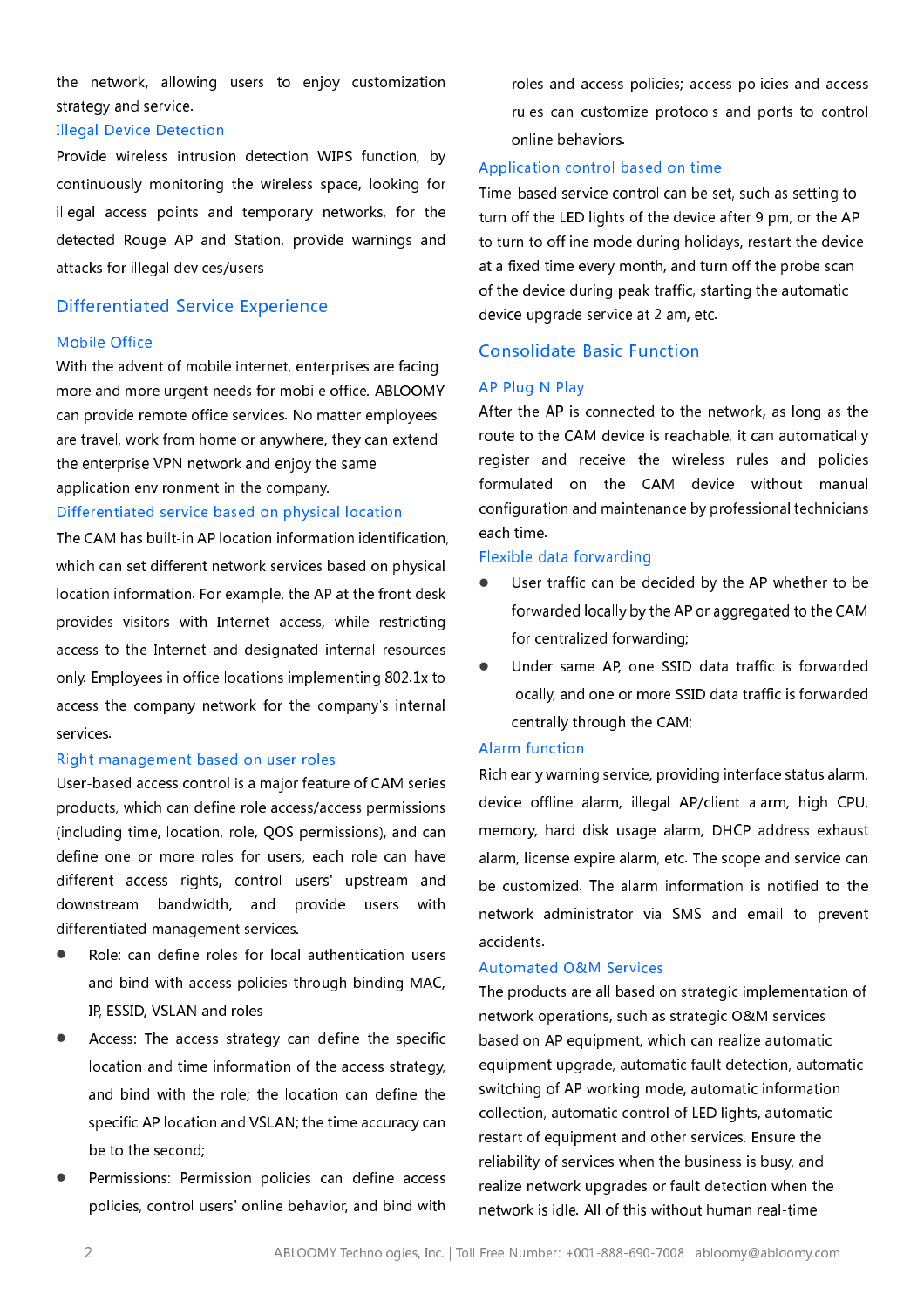the network, allowing users to enjoy customization strategy and service.

#### **Illegal Device Detection**

Provide wireless intrusion detection WIPS function, by continuously monitoring the wireless space, looking for illegal access points and temporary networks, for the detected Rouge AP and Station, provide warnings and attacks for illegal devices/users

## **Differentiated Service Experience**

#### **Mobile Office**

With the advent of mobile internet, enterprises are facing more and more urgent needs for mobile office. ABLOOMY can provide remote office services. No matter employees are travel, work from home or anywhere, they can extend the enterprise VPN network and enjoy the same application environment in the company.

#### Differentiated service based on physical location

The CAM has built-in AP location information identification. which can set different network services based on physical location information. For example, the AP at the front desk provides visitors with Internet access, while restricting access to the Internet and designated internal resources only. Employees in office locations implementing 802.1x to access the company network for the company's internal services.

#### Right management based on user roles

User-based access control is a major feature of CAM series products, which can define role access/access permissions (including time, location, role, QOS permissions), and can define one or more roles for users, each role can have different access rights, control users' upstream and downstream bandwidth, and provide users with differentiated management services.

- Role: can define roles for local authentication users and bind with access policies through binding MAC, IP, ESSID, VSLAN and roles
- Access: The access strategy can define the specific location and time information of the access strategy, and bind with the role; the location can define the specific AP location and VSLAN; the time accuracy can be to the second:
- Permissions: Permission policies can define access policies, control users' online behavior, and bind with

roles and access policies; access policies and access rules can customize protocols and ports to control online behaviors.

### Application control based on time

Time-based service control can be set, such as setting to turn off the LED lights of the device after 9 pm, or the AP to turn to offline mode during holidays, restart the device at a fixed time every month, and turn off the probe scan of the device during peak traffic, starting the automatic device upgrade service at 2 am, etc.

# **Consolidate Basic Function**

#### AP Plug N Play

After the AP is connected to the network, as long as the route to the CAM device is reachable, it can automatically register and receive the wireless rules and policies formulated on the CAM device without manual configuration and maintenance by professional technicians each time.

#### Flexible data forwarding

- User traffic can be decided by the AP whether to be forwarded locally by the AP or aggregated to the CAM for centralized forwarding;
- Under same AP, one SSID data traffic is forwarded locally, and one or more SSID data traffic is forwarded centrally through the CAM;

#### Alarm function

Rich early warning service, providing interface status alarm, device offline alarm, illegal AP/client alarm, high CPU, memory, hard disk usage alarm, DHCP address exhaust alarm, license expire alarm, etc. The scope and service can be customized. The alarm information is notified to the network administrator via SMS and email to prevent accidents.

#### **Automated O&M Services**

The products are all based on strategic implementation of network operations, such as strategic O&M services based on AP equipment, which can realize automatic equipment upgrade, automatic fault detection, automatic switching of AP working mode, automatic information collection, automatic control of LED lights, automatic restart of equipment and other services. Ensure the reliability of services when the business is busy, and realize network upgrades or fault detection when the network is idle. All of this without human real-time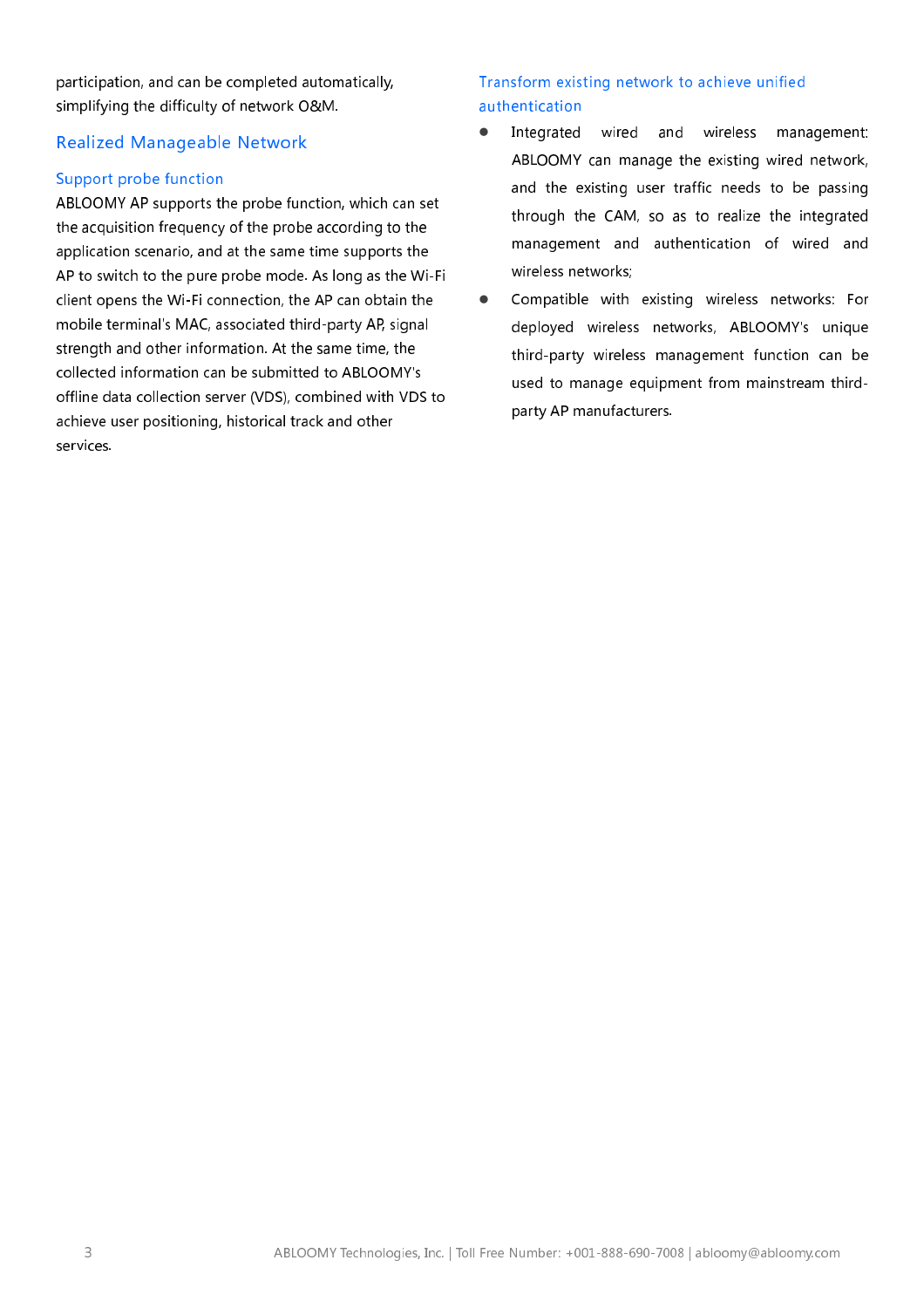participation, and can be completed automatically, simplifying the difficulty of network O&M.

# **Realized Manageable Network**

# Support probe function

ABLOOMY AP supports the probe function, which can set the acquisition frequency of the probe according to the application scenario, and at the same time supports the AP to switch to the pure probe mode. As long as the Wi-Fi client opens the Wi-Fi connection, the AP can obtain the mobile terminal's MAC, associated third-party AP, signal strength and other information. At the same time, the collected information can be submitted to ABLOOMY's offline data collection server (VDS), combined with VDS to achieve user positioning, historical track and other services.

# Transform existing network to achieve unified authentication

- Integrated wired and wireless management:  $\bullet$ ABLOOMY can manage the existing wired network, and the existing user traffic needs to be passing through the CAM, so as to realize the integrated management and authentication of wired and wireless networks;
- Compatible with existing wireless networks: For  $\bullet$ deployed wireless networks, ABLOOMY's unique third-party wireless management function can be used to manage equipment from mainstream thirdparty AP manufacturers.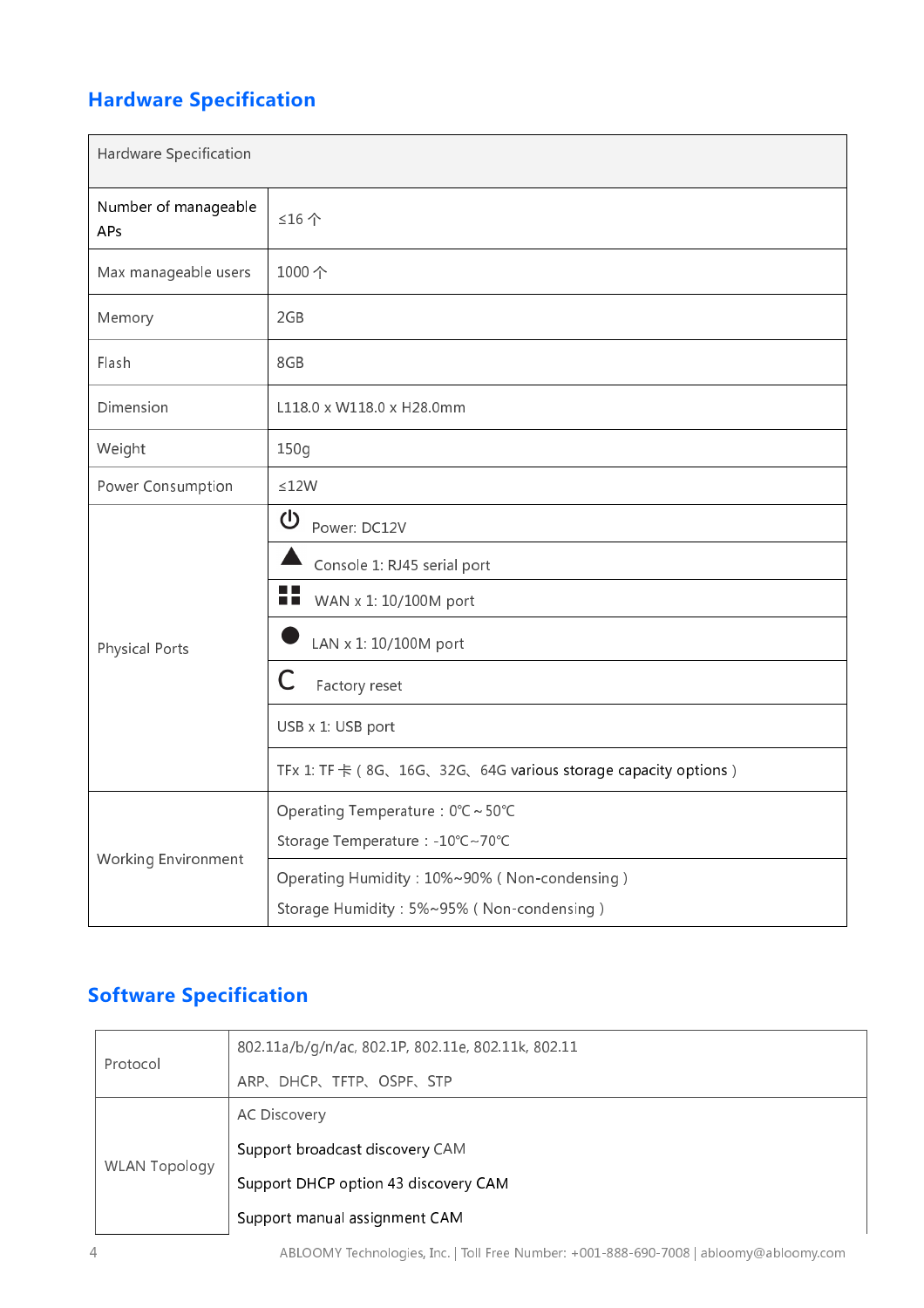# **Hardware Specification**

| Hardware Specification      |                                                                      |  |
|-----------------------------|----------------------------------------------------------------------|--|
| Number of manageable<br>APs | ≤16个                                                                 |  |
| Max manageable users        | 1000个                                                                |  |
| Memory                      | 2GB                                                                  |  |
| Flash                       | 8GB                                                                  |  |
| Dimension                   | L118.0 x W118.0 x H28.0mm                                            |  |
| Weight                      | 150g                                                                 |  |
| Power Consumption           | $\leq 12W$                                                           |  |
| <b>Physical Ports</b>       | $\mathbf 0$<br>Power: DC12V                                          |  |
|                             | Console 1: RJ45 serial port                                          |  |
|                             | n p<br>WAN x 1: 10/100M port<br><b>TIME</b>                          |  |
|                             | LAN x 1: 10/100M port                                                |  |
|                             | С<br>Factory reset                                                   |  |
|                             | USB x 1: USB port                                                    |  |
|                             | TFx 1: TF $\pm$ (8G, 16G, 32G, 64G various storage capacity options) |  |
| Working Environment         | Operating Temperature: 0°C ~ 50°C                                    |  |
|                             | Storage Temperature : -10°C~70°C                                     |  |
|                             | Operating Humidity: 10%~90% (Non-condensing)                         |  |
|                             | Storage Humidity: 5%~95% (Non-condensing)                            |  |

# **Software Specification**

| Protocol             | 802.11a/b/g/n/ac, 802.1P, 802.11e, 802.11k, 802.11 |
|----------------------|----------------------------------------------------|
|                      | ARP、DHCP、TFTP、OSPF、STP                             |
| <b>WLAN Topology</b> | <b>AC Discovery</b>                                |
|                      | Support broadcast discovery CAM                    |
|                      | Support DHCP option 43 discovery CAM               |
|                      | Support manual assignment CAM                      |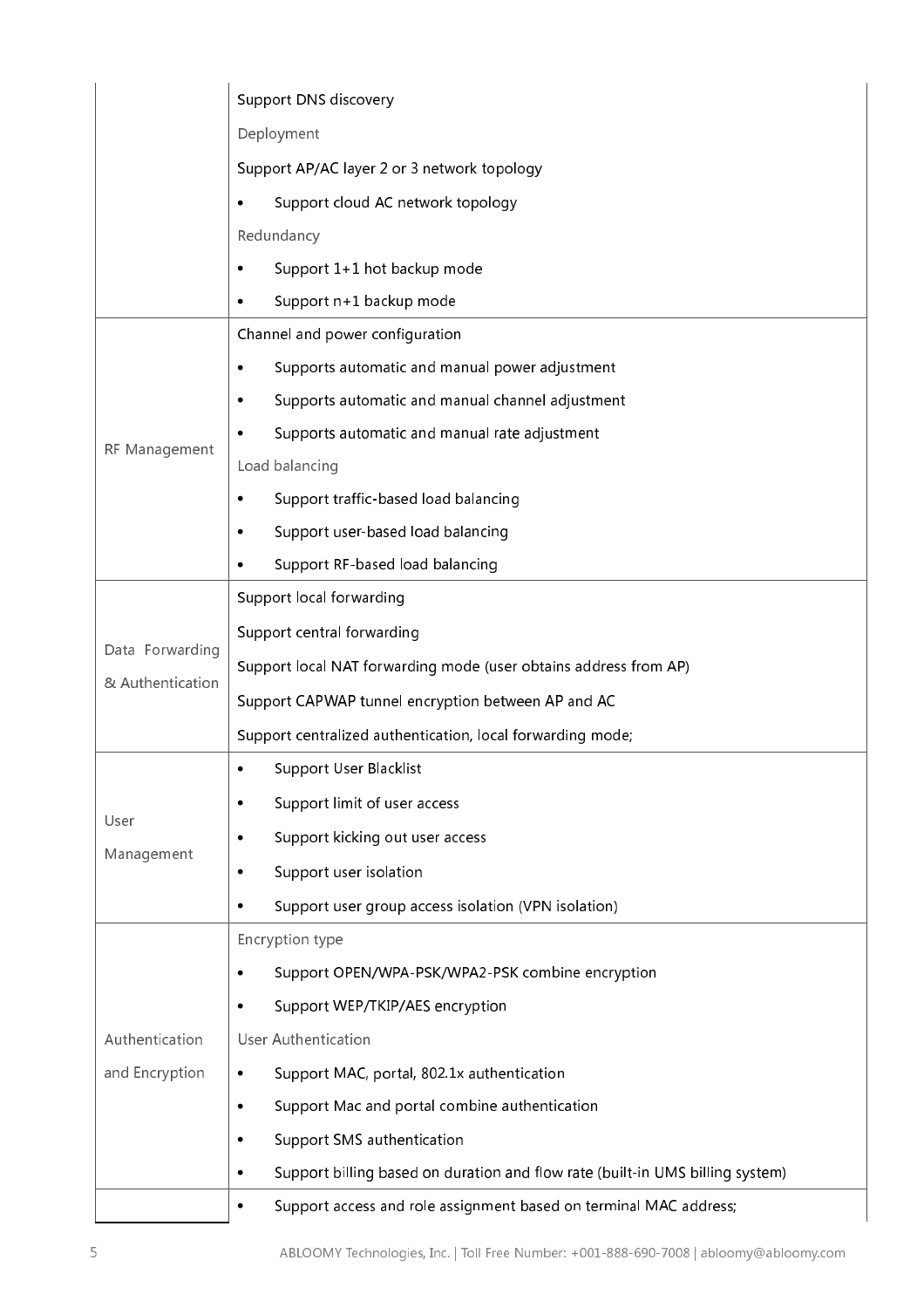|                  | <b>Support DNS discovery</b>                                                       |
|------------------|------------------------------------------------------------------------------------|
|                  | Deployment                                                                         |
|                  | Support AP/AC layer 2 or 3 network topology                                        |
|                  | Support cloud AC network topology<br>$\bullet$                                     |
|                  | Redundancy                                                                         |
|                  | Support 1+1 hot backup mode                                                        |
|                  | Support n+1 backup mode                                                            |
|                  | Channel and power configuration                                                    |
|                  | Supports automatic and manual power adjustment<br>$\bullet$                        |
|                  | Supports automatic and manual channel adjustment                                   |
| RF Management    | Supports automatic and manual rate adjustment<br>$\bullet$                         |
|                  | Load balancing                                                                     |
|                  | Support traffic-based load balancing<br>$\bullet$                                  |
|                  | Support user-based load balancing                                                  |
|                  | Support RF-based load balancing                                                    |
|                  | Support local forwarding                                                           |
| Data Forwarding  | Support central forwarding                                                         |
| & Authentication | Support local NAT forwarding mode (user obtains address from AP)                   |
|                  | Support CAPWAP tunnel encryption between AP and AC                                 |
|                  | Support centralized authentication, local forwarding mode;                         |
|                  | Support User Blacklist<br>$\bullet$                                                |
| User             | Support limit of user access<br>$\bullet$                                          |
|                  | Support kicking out user access<br>٠                                               |
| Management       | Support user isolation<br>٠                                                        |
|                  | Support user group access isolation (VPN isolation)<br>$\bullet$                   |
| Authentication   | Encryption type                                                                    |
|                  | Support OPEN/WPA-PSK/WPA2-PSK combine encryption<br>$\bullet$                      |
|                  | Support WEP/TKIP/AES encryption                                                    |
|                  | <b>User Authentication</b>                                                         |
| and Encryption   | Support MAC, portal, 802.1x authentication<br>$\bullet$                            |
|                  | Support Mac and portal combine authentication<br>$\bullet$                         |
|                  | Support SMS authentication<br>$\bullet$                                            |
|                  | Support billing based on duration and flow rate (built-in UMS billing system)<br>٠ |
|                  | Support access and role assignment based on terminal MAC address;<br>$\bullet$     |